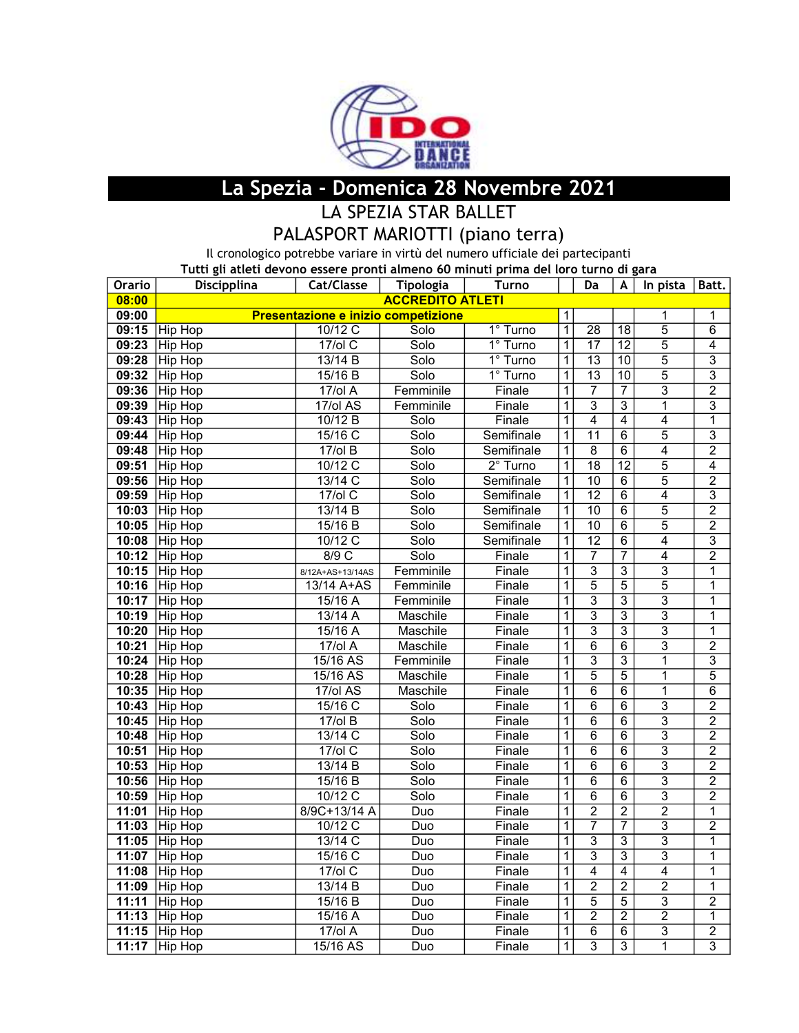

## La Spezia - Domenica 28 Novembre 2021

LA SPEZIA STAR BALLET

## PALASPORT MARIOTTI (piano terra)

Il cronologico potrebbe variare in virtù del numero ufficiale dei partecipanti

Tutti gli atleti devono essere pronti almeno 60 minuti prima del loro turno di gara

| Orario | Discipplina             | Cat/Classe                          | Tipologia                | <b>Turno</b> |                         | Da                        | A               | In pista       | Batt.          |  |
|--------|-------------------------|-------------------------------------|--------------------------|--------------|-------------------------|---------------------------|-----------------|----------------|----------------|--|
| 08:00  | <b>ACCREDITO ATLETI</b> |                                     |                          |              |                         |                           |                 |                |                |  |
| 09:00  |                         | Presentazione e inizio competizione |                          |              | 1                       |                           |                 | 1              | 1              |  |
|        | 09:15 Hip Hop           | $10/12$ C                           | Solo                     | 1° Turno     | $\overline{1}$          | $\overline{28}$           | $\overline{18}$ | $\overline{5}$ | $\overline{6}$ |  |
| 09:23  | Hip Hop                 | $17$ /ol C                          | Solo                     | 1° Turno     | $\overline{1}$          | $\overline{17}$           | $\overline{12}$ | $\overline{5}$ | $\overline{4}$ |  |
| 09:28  | Hip Hop                 | 13/14 B                             | Solo                     | $1°$ Turno   | $\overline{1}$          | $\overline{13}$           | 10              | $\overline{5}$ | $\overline{3}$ |  |
| 09:32  | Hip Hop                 | 15/16 B                             | Solo                     | $1°$ Turno   | 1                       | $\overline{13}$           | 10              | $\overline{5}$ | $\overline{3}$ |  |
| 09:36  | Hip Hop                 | $17$ /ol A                          | Femminile                | Finale       | 1                       | $\overline{7}$            | $\overline{7}$  | $\overline{3}$ | $\overline{2}$ |  |
| 09:39  | Hip Hop                 | $17$ /ol AS                         | Femminile                | Finale       | $\overline{1}$          | $\overline{\overline{3}}$ | $\overline{3}$  | $\overline{1}$ | $\overline{3}$ |  |
| 09:43  | Hip Hop                 | 10/12 B                             | Solo                     | Finale       | $\overline{1}$          | $\overline{4}$            | $\overline{4}$  | $\overline{4}$ | $\overline{1}$ |  |
| 09:44  | Hip Hop                 | 15/16 C                             | Solo                     | Semifinale   | $\overline{1}$          | $\overline{11}$           | $\overline{6}$  | $\overline{5}$ | $\overline{3}$ |  |
| 09:48  | Hip Hop                 | $17$ /ol B                          | Solo                     | Semifinale   | $\overline{1}$          | $\overline{8}$            | $\overline{6}$  | $\overline{4}$ | $\overline{2}$ |  |
| 09:51  | Hip Hop                 | $10/12$ C                           | Solo                     | $2°$ Turno   | $\overline{1}$          | $\overline{18}$           | $\overline{12}$ | $\overline{5}$ | $\overline{4}$ |  |
| 09:56  | Hip Hop                 | 13/14 C                             | Solo                     | Semifinale   | $\overline{1}$          | 10                        | $\overline{6}$  | $\overline{5}$ | $\overline{2}$ |  |
| 09:59  | Hip Hop                 | $17$ /ol C                          | Solo                     | Semifinale   | 1                       | $\overline{12}$           | $\overline{6}$  | $\overline{4}$ | $\overline{3}$ |  |
| 10:03  | Hip Hop                 | 13/14 B                             | Solo                     | Semifinale   | 1                       | $\overline{10}$           | $\overline{6}$  | $\overline{5}$ | $\overline{2}$ |  |
|        | 10:05 Hip Hop           | 15/16 B                             | Solo                     | Semifinale   | 1                       | $\overline{10}$           | $\overline{6}$  | $\overline{5}$ | $\overline{2}$ |  |
| 10:08  | Hip Hop                 | $10/12$ C                           | Solo                     | Semifinale   | $\overline{1}$          | $\overline{12}$           | $\overline{6}$  | $\overline{4}$ | $\overline{3}$ |  |
| 10:12  | Hip Hop                 | 8/9C                                | Solo                     | Finale       | $\overline{1}$          | $\overline{7}$            | $\overline{7}$  | $\overline{4}$ | $\overline{2}$ |  |
| 10:15  | <b>Hip Hop</b>          | 8/12A+AS+13/14AS                    | Femminile                | Finale       | $\overline{1}$          | $\overline{3}$            | $\overline{3}$  | $\overline{3}$ | $\overline{1}$ |  |
| 10:16  | Hip Hop                 | 13/14 A+AS                          | Femminile                | Finale       | $\overline{1}$          | $\overline{5}$            | $\overline{5}$  | $\overline{5}$ | $\mathbf 1$    |  |
| 10:17  | Hip Hop                 | $15/16$ A                           | Femminile                | Finale       | $\overline{1}$          | $\overline{3}$            | $\overline{3}$  | $\overline{3}$ | $\overline{1}$ |  |
|        | 10:19 Hip Hop           | 13/14A                              | Maschile                 | Finale       | $\overline{1}$          | $\overline{3}$            | $\overline{3}$  | $\overline{3}$ | $\overline{1}$ |  |
| 10:20  | <b>Hip Hop</b>          | $15/16$ A                           | Maschile                 | Finale       | $\overline{\mathbf{1}}$ | $\overline{\overline{3}}$ | $\overline{3}$  | $\overline{3}$ | $\overline{1}$ |  |
| 10:21  | Hip Hop                 | $17$ /ol A                          | Maschile                 | Finale       | $\overline{1}$          | $\overline{6}$            | $\overline{6}$  | $\overline{3}$ | $\overline{2}$ |  |
| 10:24  | Hip Hop                 | 15/16AS                             | Femminile                | Finale       | $\overline{1}$          | $\overline{3}$            | $\overline{3}$  | $\overline{1}$ | $\overline{3}$ |  |
| 10:28  | Hip Hop                 | 15/16 AS                            | Maschile                 | Finale       | $\overline{\mathbf{1}}$ | $\overline{5}$            | $\overline{5}$  | $\overline{1}$ | $\overline{5}$ |  |
| 10:35  | <b>Hip Hop</b>          | $17$ /ol AS                         | Maschile                 | Finale       | $\overline{1}$          | $\overline{6}$            | $\overline{6}$  | $\overline{1}$ | $\overline{6}$ |  |
|        | 10:43 Hip Hop           | $15/16$ C                           | Solo                     | Finale       | $\overline{1}$          | $\overline{6}$            | $\overline{6}$  | $\overline{3}$ | $\overline{2}$ |  |
| 10:45  | <b>Hip Hop</b>          | $17$ /ol B                          | $\overline{\text{Solo}}$ | Finale       | $\overline{1}$          | $\overline{6}$            | $\overline{6}$  | $\overline{3}$ | $\overline{2}$ |  |
| 10:48  | Hip Hop                 | $13/14$ C                           | Solo                     | Finale       | $\overline{1}$          | $\overline{6}$            | $\overline{6}$  | $\overline{3}$ | $\overline{2}$ |  |
| 10:51  | <b>Hip Hop</b>          | $17$ /ol C                          | Solo                     | Finale       | $\overline{1}$          | $\overline{6}$            | $\overline{6}$  | $\overline{3}$ | $\overline{2}$ |  |
| 10:53  | Hip Hop                 | 13/14 B                             | Solo                     | Finale       | $\overline{1}$          | $\overline{6}$            | $\overline{6}$  | $\overline{3}$ | $\overline{2}$ |  |
| 10:56  | Hip Hop                 | 15/16 B                             | Solo                     | Finale       | $\overline{\mathbf{1}}$ | $\overline{6}$            | $\overline{6}$  | $\overline{3}$ | $\overline{2}$ |  |
| 10:59  | <b>Hip Hop</b>          | $10/12$ C                           | Solo                     | Finale       | $\overline{1}$          | $\overline{6}$            | $\overline{6}$  | $\overline{3}$ | $\overline{2}$ |  |
| 11:01  | Hip Hop                 | 8/9C+13/14 A                        | Duo                      | Finale       | $\overline{1}$          | $\overline{2}$            | $\overline{2}$  | $\overline{2}$ | $\mathbf 1$    |  |
| 11:03  | Hip Hop                 | $10/12$ C                           | Duo                      | Finale       | $\overline{1}$          | $\overline{7}$            | $\overline{7}$  | $\overline{3}$ | $\overline{2}$ |  |
| 11:05  | Hip Hop                 | $13/14$ C                           | Duo                      | Finale       | $\overline{1}$          | $\overline{3}$            | $\overline{3}$  | $\overline{3}$ | $\overline{1}$ |  |
| 11:07  | <b>Hip Hop</b>          | 15/16 C                             | Duo                      | Finale       | $\overline{1}$          | $\overline{3}$            | $\overline{3}$  | $\overline{3}$ | $\overline{1}$ |  |
| 11:08  | Hip Hop                 | $17$ /ol C                          | Duo                      | Finale       | $\overline{1}$          | $\overline{4}$            | $\overline{4}$  | $\overline{4}$ | $\overline{1}$ |  |
| 11:09  | <b>Hip Hop</b>          | 13/14 B                             | Duo                      | Finale       | $\overline{\mathbf{1}}$ | $\overline{2}$            | $\overline{2}$  | $\overline{2}$ | $\overline{1}$ |  |
| 11:11  | Hip Hop                 | 15/16 B                             | Duo                      | Finale       | $\overline{1}$          | $\overline{5}$            | $\overline{5}$  | $\overline{3}$ | $\overline{c}$ |  |
| 11:13  | Hip Hop                 | $15/16$ A                           | Duo                      | Finale       | $\overline{1}$          | $\overline{2}$            | $\overline{2}$  | $\overline{2}$ | $\overline{1}$ |  |
|        | 11:15 Hip Hop           | $17$ /ol A                          | Duo                      | Finale       | $\overline{1}$          | $\overline{6}$            | $\overline{6}$  | $\overline{3}$ | $\overline{2}$ |  |
|        | 11:17 Hip Hop           | $15/16$ AS                          | Duo                      | Finale       | $\overline{1}$          | $\overline{3}$            | $\overline{3}$  | $\overline{1}$ | $\overline{3}$ |  |